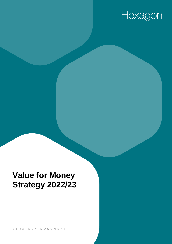# Hexagon

## **Value for Money Strategy 2022/23**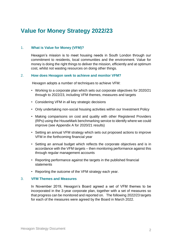### **Value for Money Strategy 2022/23**

#### 1. **What is Value for Money (VFM)?**

Hexagon's mission is to meet housing needs in South London through our commitment to residents, local communities and the environment. Value for money is doing the right things to deliver the mission, efficiently and at optimum cost, whilst not wasting resources on doing other things.

#### 2. **How does Hexagon seek to achieve and monitor VFM?**

Hexagon adopts a number of techniques to achieve VFM:

- Working to a corporate plan which sets out corporate objectives for 2020/21 through to 2022/23, including VFM themes, measures and targets
- Considering VFM in all key strategic decisions
- Only undertaking non-social housing activities within our Investment Policy
- Making comparisons on cost and quality with other Registered Providers (RPs) using the HouseMark benchmarking service to identify where we could improve (see Appendix A for 2020/21 results)
- Setting an annual VFM strategy which sets out proposed actions to improve VFM in the forthcoming financial year
- Setting an annual budget which reflects the corporate objectives and is in accordance with the VFM targets – then monitoring performance against this through regular management accounts
- Reporting performance against the targets in the published financial statements
- Reporting the outcome of the VFM strategy each year.

#### 3. **VFM Themes and Measures**

In November 2019, Hexagon's Board agreed a set of VFM themes to be incorporated in the 3-year corporate plan, together with a set of measures so that progress can be monitored and reported on. The following 2022/23 targets for each of the measures were agreed by the Board in March 2022.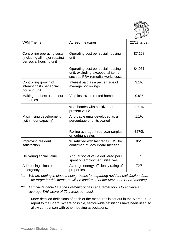

| <b>VFM Theme</b>                                                                        | Agreed measures                                                                                            | 22/23 target |
|-----------------------------------------------------------------------------------------|------------------------------------------------------------------------------------------------------------|--------------|
| Controlling operating costs<br>(including all major repairs)<br>per social housing unit | Operating cost per social housing<br>unit                                                                  | £7,128       |
|                                                                                         | Operating cost per social housing<br>unit, excluding exceptional items<br>such as FRA remedial works costs | £4,961       |
| Controlling growth of<br>interest costs per social<br>housing unit                      | Interest paid as a percentage of<br>average borrowings                                                     | 3.1%         |
| Making the best use of our<br>properties                                                | Void loss % on rented homes                                                                                | 0.9%         |
|                                                                                         | % of homes with positive net<br>present value                                                              | 100%         |
| Maximising development<br>(within our capacity)                                         | Affordable units developed as a<br>percentage of units owned                                               | 1.1%         |
|                                                                                         | Rolling average three-year surplus<br>on outright sales                                                    | £279k        |
| Improving resident<br>satisfaction                                                      | % satisfied with last repair (Will be<br>confirmed at May Board meeting)                                   | $85*1$       |
| Delivering social value                                                                 | Annual social value delivered per £<br>spent on employment initiatives                                     | £7           |
| Addressing climate<br>emergency                                                         | Average energy efficiency rating of<br>properties                                                          | $72*2$       |

\*1: *We are putting in place a new process for capturing resident satisfaction data. The target for this measure will be confirmed at the May 2022 Board meeting.*

\*2: *Our Sustainable Finance Framework has set a target for us to achieve an average SAP score of 72 across our stock.*

More detailed definitions of each of the measures is set out in the March 2022 report to the Board. Where possible, sector-wide definitions have been used, to allow comparison with other housing associations.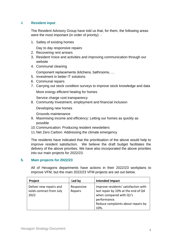#### 4. **Resident input**

The Resident Advisory Group have told us that, for them, the following areas were the most important (in order of priority): -

1. Safety of existing homes

Day to day responsive repairs

- 2. Recovering rent arrears
- 3. Resident Voice and activities and improving communication through our website
- 4. Communal cleaning

Component replacements (kitchens, bathrooms, …

- 5. Investment in better IT solutions
- 6. Communal repairs
- 7. Carrying out stock condition surveys to improve stock knowledge and data

More energy efficient heating for homes

Service charge cost transparency

8. Community Investment, employment and financial inclusion

Developing new homes

Grounds maintenance

- 9. Maximising income and efficiency: Letting our homes as quickly as possible
- 10.Communication: Producing resident newsletters
- 11.Net Zero Carbon: Addressing the climate emergency

The residents have indicated that the prioritisation of the above would help to improve resident satisfaction. We believe the draft budget facilitates the delivery of the above priorities. We have also incorporated the above priorities into our main projects for 2022/23.

#### **5. Main projects for 2022/23**

All of Hexagons departments have actions in their 2022/23 workplans to improve VFM, but the main 2022/23 VFM projects are set out below.

| Project                                                     | Led by                | Intended impact                                                                                                                                                      |
|-------------------------------------------------------------|-----------------------|----------------------------------------------------------------------------------------------------------------------------------------------------------------------|
| Deliver new repairs and<br>voids contract from July<br>2022 | Responsive<br>Repairs | Improve residents' satisfaction with<br>last repair by 10% at the end of Q4<br>when compared with Q1's<br>performance.<br>Reduce complaints about repairs by<br>10%. |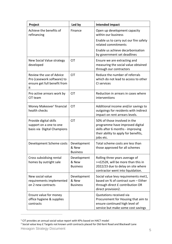| Project                                                                                      | Led by                                  | Intended impact                                                                                                                                           |
|----------------------------------------------------------------------------------------------|-----------------------------------------|-----------------------------------------------------------------------------------------------------------------------------------------------------------|
| Achieve the benefits of<br>refinancing                                                       | Finance                                 | Open up development capacity<br>within our business                                                                                                       |
|                                                                                              |                                         | Enable us to carry out our fire safety<br>related commitments                                                                                             |
|                                                                                              |                                         | Enable us achieve decarbonisation<br>by government set deadlines                                                                                          |
| New Social Value strategy<br>developed                                                       | <b>CIT</b>                              | Ensure we are extracting and<br>measuring the social value obtained<br>through our contractors                                                            |
| Review the use of Advice<br>Pro (casework software) to<br>ensure get full benefit from<br>it | <b>CIT</b>                              | Reduce the number of referrals<br>which do not lead to access to other<br>CI services                                                                     |
| Pro active arrears work by<br>CIT team                                                       | <b>CIT</b>                              | Reduction in arrears in cases where<br>interventions                                                                                                      |
| Money Makeover' financial<br>health checks                                                   | CIT                                     | Additional income and/or savings to<br>outgoings for residents with indirect<br>impact on rent arrears levels.                                            |
| Provide digital skills<br>support on a one to one<br>basis via Digital Champions             | <b>CIT</b>                              | 50% of those involved in the<br>programme have improved digital<br>skills after 6 months - improving<br>their ability to apply for benefits,<br>jobs etc. |
| Development Scheme costs                                                                     | Development<br>& New<br><b>Business</b> | Total scheme costs are less than<br>those approved for all schemes                                                                                        |
| Cross subsidising rental<br>homes by outright sale                                           | Development<br>& New<br><b>Business</b> | Rolling three years average of<br>>=£252K, will be more than this in<br>2022/23 due to delay on site where<br>contractor went into liquidation.           |
| New social value<br>requirements implemented<br>on 2 new contracts                           | Development<br>& New<br><b>Business</b> | Social value levy requirements met1,<br>based on % of contract sum - Either<br>through direct £ contribution OR<br>direct provision2.                     |
| Ensure value for money<br>office hygiene & supplies<br>contracts                             |                                         | Quotations received via<br>Procurement for Housing that aim to<br>ensure continued high level of<br>service but make some cost savings                    |

<sup>1</sup> CIT provides an annual social value report with KPIs based on HACT model

Hexagon Strategy Document 5 <sup>2</sup> Social value levy £ Targets not known until contracts placed for Old Kent Road and Blackwall Lane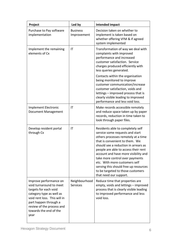| Project                                                                                                                                                                                                                        | Led by                         | Intended impact                                                                                                                                                                                                                                                                                                                                                                                                                                   |
|--------------------------------------------------------------------------------------------------------------------------------------------------------------------------------------------------------------------------------|--------------------------------|---------------------------------------------------------------------------------------------------------------------------------------------------------------------------------------------------------------------------------------------------------------------------------------------------------------------------------------------------------------------------------------------------------------------------------------------------|
| Purchase to Pay software<br>implementation                                                                                                                                                                                     | <b>Business</b><br>Improvement | Decision taken on whether to<br>implement is taken based on<br>whether offering VFM & if agreed<br>system implemented                                                                                                                                                                                                                                                                                                                             |
| Implement the remaining<br>elements of Cx                                                                                                                                                                                      | ΙT                             | Transformation of way we deal with<br>complaints with improved<br>performance and increased<br>customer satisfaction. Service<br>charges produced efficiently with<br>less queries generated.                                                                                                                                                                                                                                                     |
|                                                                                                                                                                                                                                |                                | Contacts within the organisation<br>being monitored to improve<br>customer communication/increase<br>customer satisfaction, voids and<br>lettings - improved process that is<br>clearly visible leading to improved<br>performance and less void loss.                                                                                                                                                                                            |
| <b>Implement Electronic</b><br>Document Management                                                                                                                                                                             | ΙT                             | Make records accessible remotely<br>and reduce space taken up by paper<br>records, reduction in time taken to<br>look through paper files.                                                                                                                                                                                                                                                                                                        |
| Develop resident portal<br>through Cx                                                                                                                                                                                          | ΙT                             | Residents able to completely self<br>service some requests and start<br>others processes remotely at a time<br>that is convenient to them. We<br>should see a reduction in arrears as<br>people are able to access their rent<br>account and have more visibility and<br>take more control over payments<br>etc. With more customers self<br>serving this should free up resources<br>to be targeted to those customers<br>that need our support. |
| Improve performance on<br>void turnaround to meet<br>targets for each void<br>category type as well as<br>void rent loss. This will in<br>part happen through a<br>review of the process and<br>towards the end of the<br>year | Neighbourhood<br>Services      | Reduce time that properties are<br>empty, voids and lettings - improved<br>process that is clearly visible leading<br>to improved performance and less<br>void loss.                                                                                                                                                                                                                                                                              |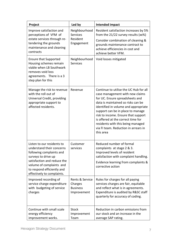| Project                                                                                                                                                                                                                           | Led by                                                       | Intended impact                                                                                                                                                                                                                                                                                                                                                                                        |
|-----------------------------------------------------------------------------------------------------------------------------------------------------------------------------------------------------------------------------------|--------------------------------------------------------------|--------------------------------------------------------------------------------------------------------------------------------------------------------------------------------------------------------------------------------------------------------------------------------------------------------------------------------------------------------------------------------------------------------|
| Improve satisfaction and<br>perceptions of VFM of<br>estate services through re-<br>tendering the grounds<br>maintenance and cleaning<br>contracts                                                                                | Neighbourhood<br><b>Services</b><br>Resident<br>Engagement   | Resident satisfaction increases by 5%<br>from the $21/22$ survey results (xx%)<br>Consider combination of cleaning &<br>grounds maintenance contract to<br>achieve efficiencies in cost and<br>achieve better VFM.                                                                                                                                                                                     |
| <b>Ensure that Supported</b><br>Housing schemes remain<br>viable when LB Southwark<br>removes void loss<br>agreements. There is a 3<br>step plan for this                                                                         | Neighbourhood<br><b>Services</b>                             | Void losses mitigated                                                                                                                                                                                                                                                                                                                                                                                  |
| Manage the risk to revenue<br>with the roll out of<br>Universal Credit, providing<br>appropriate support to<br>affected residents.                                                                                                | Revenue                                                      | Continue to utilise the UC Hub for all<br>case management with new claims<br>for UC. Ensure spreadsheets and<br>data is maintained so risks can be<br>identified in volume and appropriate<br>support can be in place to manage<br>risk to income. Ensure that support<br>is offered at the correct time for<br>residents with this being managed<br>via FI team. Reduction in arrears in<br>this area |
| Listen to our residents to<br>understand their concerns<br>following complaints and<br>surveys to drive up<br>satisfaction and reduce the<br>volume of complaints and<br>to respond efficiently and<br>effectively to complaints. | Customer<br>services                                         | Reduced number of formal<br>complaints at stage 2 & 3.<br>Improved levels of resident<br>satisfaction with complaint handling.<br>Evidence learning from complaints &<br>corrective action                                                                                                                                                                                                             |
| Improved recording of<br>service charge expenditure<br>with budgeting of service<br>charges                                                                                                                                       | Rents & Service<br>Charges<br><b>Business</b><br>Improvement | Rules for charges for all paying<br>services charges are fair, equitable<br>and reflect what is in agreements.<br>Expenditure is audited by R&SC staff<br>quarterly for accuracy of coding.                                                                                                                                                                                                            |
| Continue with small scale<br>energy efficiency<br>improvement works.                                                                                                                                                              | <b>Stock</b><br>Improvement<br>Team                          | Reduction in carbon emissions from<br>our stock and an increase in the<br>average SAP rating.                                                                                                                                                                                                                                                                                                          |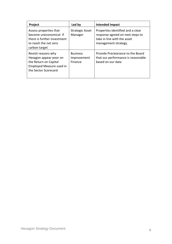| <b>Project</b>                                                                                                             | Led by                                    | <b>Intended impact</b>                                                                                                       |
|----------------------------------------------------------------------------------------------------------------------------|-------------------------------------------|------------------------------------------------------------------------------------------------------------------------------|
| Assess properties that<br>become uneconomical if<br>there is further investment<br>to reach the net zero<br>carbon target  | <b>Strategic Asset</b><br>Manager         | Properties identified and a clear<br>response agreed on next steps to<br>take in line with the asset<br>management strategy. |
| Revisit reasons why<br>Hexagon appear poor on<br>the Return on Capital<br>Employed Measure used in<br>the Sector Scorecard | <b>Business</b><br>Improvement<br>Finance | Provide Preclearance to the Board<br>that our performance is reasonable<br>based on our data                                 |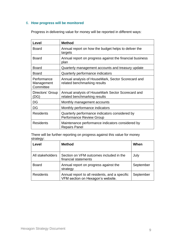#### 6. **How progress will be monitored**

Progress in delivering value for money will be reported in different ways:

| Level                                  | <b>Method</b>                                                                      |
|----------------------------------------|------------------------------------------------------------------------------------|
| <b>Board</b>                           | Annual report on how the budget helps to deliver the<br>targets                    |
| <b>Board</b>                           | Annual report on progress against the financial business<br>plan                   |
| <b>Board</b>                           | Quarterly management accounts and treasury update                                  |
| <b>Board</b>                           | Quarterly performance indicators                                                   |
| Performance<br>Management<br>Committee | Annual analysis of HouseMark, Sector Scorecard and<br>related benchmarking results |
| Directors' Group<br>DG)                | Annual analysis of HouseMark Sector Scorecard and<br>related benchmarking results  |
| DG                                     | Monthly management accounts                                                        |
| DG                                     | Monthly performance indicators                                                     |
| <b>Residents</b>                       | Quarterly performance indicators considered by<br><b>Performance Review Group</b>  |
| <b>Residents</b>                       | Maintenance performance indicators considered by<br><b>Repairs Panel</b>           |

There will be further reporting on progress against this value for money strategy:

| Level            | <b>Method</b>                                                                       | When      |
|------------------|-------------------------------------------------------------------------------------|-----------|
| All stakeholders | Section on VFM outcomes included in the<br>financial statements                     | July      |
| <b>Board</b>     | Annual report on progress against the<br>strategy                                   | September |
| <b>Residents</b> | Annual report to all residents, and a specific<br>VFM section on Hexagon's website. | September |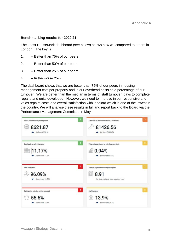#### **Benchmarking results for 2020/21**

The latest HouseMark dashboard (see below) shows how we compared to others in London. The key is

- 1. Better than 75% of our peers
- 2. Better than 50% of our peers
- 3. Better than 25% of our peers
- 4.  $-$  In the worse 25%

The dashboard shows that we are better than 75% of our peers in housing management cost per property and in our overhead costs as a percentage of our turnover. We are better than the median in terms of staff turnover, days to complete repairs and units developed. However, we need to improve in our responsive and voids repairs costs and overall satisfaction with landlord which is one of the lowest in the country. We will analyse these results in full and report back to the Board via the Performance Management Committee in May.